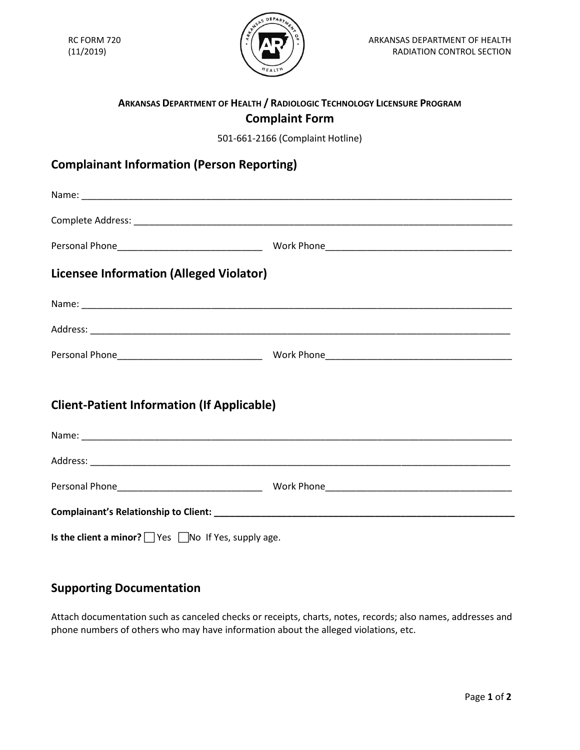

## **ARKANSAS DEPARTMENT OF HEALTH / RADIOLOGIC TECHNOLOGY LICENSURE PROGRAM Complaint Form**

501-661-2166 (Complaint Hotline)

## **Complainant Information (Person Reporting)**

| <b>Licensee Information (Alleged Violator)</b>                  |  |  |  |  |
|-----------------------------------------------------------------|--|--|--|--|
|                                                                 |  |  |  |  |
|                                                                 |  |  |  |  |
|                                                                 |  |  |  |  |
| <b>Client-Patient Information (If Applicable)</b>               |  |  |  |  |
|                                                                 |  |  |  |  |
|                                                                 |  |  |  |  |
|                                                                 |  |  |  |  |
|                                                                 |  |  |  |  |
| Is the client a minor? $\Box$ Yes $\Box$ No If Yes, supply age. |  |  |  |  |

## **Supporting Documentation**

Attach documentation such as canceled checks or receipts, charts, notes, records; also names, addresses and phone numbers of others who may have information about the alleged violations, etc.